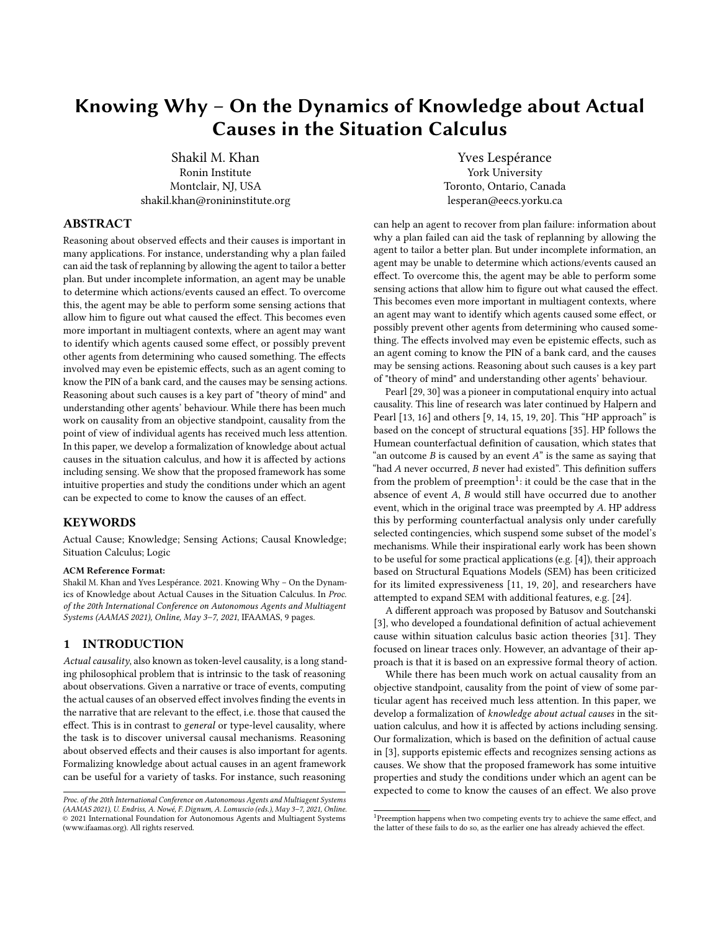# Knowing Why – On the Dynamics of Knowledge about Actual Causes in the Situation Calculus

Shakil M. Khan Ronin Institute Montclair, NJ, USA shakil.khan@ronininstitute.org

Yves Lespérance York University Toronto, Ontario, Canada lesperan@eecs.yorku.ca

## ABSTRACT

Reasoning about observed effects and their causes is important in many applications. For instance, understanding why a plan failed can aid the task of replanning by allowing the agent to tailor a better plan. But under incomplete information, an agent may be unable to determine which actions/events caused an effect. To overcome this, the agent may be able to perform some sensing actions that allow him to figure out what caused the effect. This becomes even more important in multiagent contexts, where an agent may want to identify which agents caused some effect, or possibly prevent other agents from determining who caused something. The effects involved may even be epistemic effects, such as an agent coming to know the PIN of a bank card, and the causes may be sensing actions. Reasoning about such causes is a key part of "theory of mind" and understanding other agents' behaviour. While there has been much work on causality from an objective standpoint, causality from the point of view of individual agents has received much less attention. In this paper, we develop a formalization of knowledge about actual causes in the situation calculus, and how it is affected by actions including sensing. We show that the proposed framework has some intuitive properties and study the conditions under which an agent can be expected to come to know the causes of an effect.

## **KEYWORDS**

Actual Cause; Knowledge; Sensing Actions; Causal Knowledge; Situation Calculus; Logic

#### ACM Reference Format:

Shakil M. Khan and Yves Lespérance. 2021. Knowing Why – On the Dynamics of Knowledge about Actual Causes in the Situation Calculus. In Proc. of the 20th International Conference on Autonomous Agents and Multiagent Systems (AAMAS 2021), Online, May 3–7, 2021, IFAAMAS, [9](#page-8-0) pages.

#### 1 INTRODUCTION

Actual causality, also known as token-level causality, is a long standing philosophical problem that is intrinsic to the task of reasoning about observations. Given a narrative or trace of events, computing the actual causes of an observed effect involves finding the events in the narrative that are relevant to the effect, i.e. those that caused the effect. This is in contrast to general or type-level causality, where the task is to discover universal causal mechanisms. Reasoning about observed effects and their causes is also important for agents. Formalizing knowledge about actual causes in an agent framework can be useful for a variety of tasks. For instance, such reasoning

can help an agent to recover from plan failure: information about why a plan failed can aid the task of replanning by allowing the agent to tailor a better plan. But under incomplete information, an agent may be unable to determine which actions/events caused an effect. To overcome this, the agent may be able to perform some sensing actions that allow him to figure out what caused the effect. This becomes even more important in multiagent contexts, where an agent may want to identify which agents caused some effect, or possibly prevent other agents from determining who caused something. The effects involved may even be epistemic effects, such as an agent coming to know the PIN of a bank card, and the causes may be sensing actions. Reasoning about such causes is a key part of "theory of mind" and understanding other agents' behaviour.

Pearl [\[29,](#page-8-1) [30\]](#page-8-2) was a pioneer in computational enquiry into actual causality. This line of research was later continued by Halpern and Pearl [\[13,](#page-8-3) [16\]](#page-8-4) and others [\[9,](#page-8-5) [14,](#page-8-6) [15,](#page-8-7) [19,](#page-8-8) [20\]](#page-8-9). This "HP approach" is based on the concept of structural equations [\[35\]](#page-8-10). HP follows the Humean counterfactual definition of causation, which states that "an outcome  $B$  is caused by an event  $A$ " is the same as saying that "had  $A$  never occurred,  $B$  never had existed". This definition suffers from the problem of preemption<sup>[1](#page-0-0)</sup>: it could be the case that in the absence of event  $A$ ,  $B$  would still have occurred due to another event, which in the original trace was preempted by A. HP address this by performing counterfactual analysis only under carefully selected contingencies, which suspend some subset of the model's mechanisms. While their inspirational early work has been shown to be useful for some practical applications (e.g. [\[4\]](#page-8-11)), their approach based on Structural Equations Models (SEM) has been criticized for its limited expressiveness [\[11,](#page-8-12) [19,](#page-8-8) [20\]](#page-8-9), and researchers have attempted to expand SEM with additional features, e.g. [\[24\]](#page-8-13).

A different approach was proposed by Batusov and Soutchanski [\[3\]](#page-8-14), who developed a foundational definition of actual achievement cause within situation calculus basic action theories [\[31\]](#page-8-15). They focused on linear traces only. However, an advantage of their approach is that it is based on an expressive formal theory of action.

While there has been much work on actual causality from an objective standpoint, causality from the point of view of some particular agent has received much less attention. In this paper, we develop a formalization of knowledge about actual causes in the situation calculus, and how it is affected by actions including sensing. Our formalization, which is based on the definition of actual cause in [\[3\]](#page-8-14), supports epistemic effects and recognizes sensing actions as causes. We show that the proposed framework has some intuitive properties and study the conditions under which an agent can be expected to come to know the causes of an effect. We also prove

Proc. of the 20th International Conference on Autonomous Agents and Multiagent Systems (AAMAS 2021), U. Endriss, A. Nowé, F. Dignum, A. Lomuscio (eds.), May 3–7, 2021, Online. © 2021 International Foundation for Autonomous Agents and Multiagent Systems (www.ifaamas.org). All rights reserved.

<span id="page-0-0"></span><sup>&</sup>lt;sup>1</sup>Preemption happens when two competing events try to achieve the same effect, and the latter of these fails to do so, as the earlier one has already achieved the effect.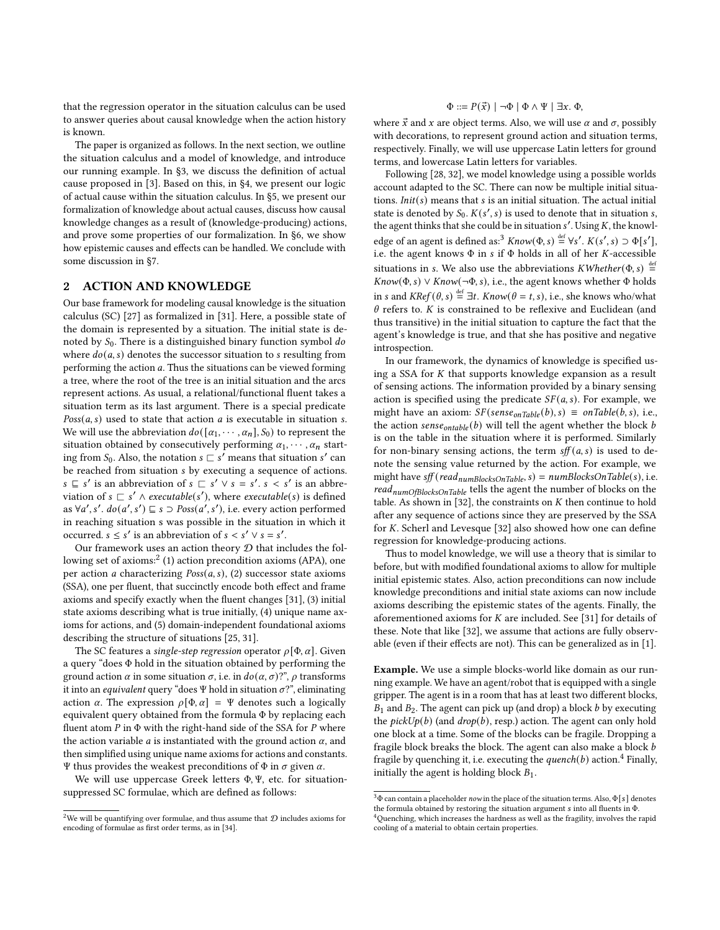that the regression operator in the situation calculus can be used to answer queries about causal knowledge when the action history is known.

The paper is organized as follows. In the next section, we outline the situation calculus and a model of knowledge, and introduce our running example. In §3, we discuss the definition of actual cause proposed in [\[3\]](#page-8-14). Based on this, in §4, we present our logic of actual cause within the situation calculus. In §5, we present our formalization of knowledge about actual causes, discuss how causal knowledge changes as a result of (knowledge-producing) actions, and prove some properties of our formalization. In §6, we show how epistemic causes and effects can be handled. We conclude with some discussion in §7.

## 2 ACTION AND KNOWLEDGE

Our base framework for modeling causal knowledge is the situation calculus (SC) [\[27\]](#page-8-16) as formalized in [\[31\]](#page-8-15). Here, a possible state of the domain is represented by a situation. The initial state is denoted by  $S_0$ . There is a distinguished binary function symbol  $do$ where  $do(a, s)$  denotes the successor situation to  $s$  resulting from performing the action  $a$ . Thus the situations can be viewed forming a tree, where the root of the tree is an initial situation and the arcs represent actions. As usual, a relational/functional fluent takes a situation term as its last argument. There is a special predicate  $Poss(a, s)$  used to state that action  $a$  is executable in situation  $s$ . We will use the abbreviation  $do([a_1, \cdots, a_n], S_0)$  to represent the situation obtained by consecutively performing  $\alpha_1, \cdots, \alpha_n$  starting from  $S_0$ . Also, the notation  $s \sqsubset s'$  means that situation  $s'$  can be reached from situation *s* by executing a sequence of actions.  $s \subseteq s'$  is an abbreviation of  $s \subseteq s' \vee s = s'$ .  $s < s'$  is an abbreviation of  $s \sqsubset s' \land \text{execute}(s')$ , where executable(s) is defined as  $\forall a', s'. do(a', s') \sqsubseteq s \supset Poss(a', s'),$  i.e. every action performed in reaching situation s was possible in the situation in which it occurred.  $s \leq s'$  is an abbreviation of  $s < s' \vee s = s'$ .

Our framework uses an action theory  ${\mathcal D}$  that includes the fol-lowing set of axioms:<sup>[2](#page-1-0)</sup> (1) action precondition axioms (APA), one per action *a* characterizing  $Poss(a, s)$ , (2) successor state axioms (SSA), one per fluent, that succinctly encode both effect and frame axioms and specify exactly when the fluent changes [\[31\]](#page-8-15), (3) initial state axioms describing what is true initially, (4) unique name axioms for actions, and (5) domain-independent foundational axioms describing the structure of situations [\[25,](#page-8-17) [31\]](#page-8-15).

The SC features a single-step regression operator  $\rho[\Phi, \alpha]$ . Given a query "does Φ hold in the situation obtained by performing the ground action  $\alpha$  in some situation  $\sigma$ , i.e. in  $do(\alpha, \sigma)$ ?",  $\rho$  transforms it into an equivalent query "does Ψ hold in situation  $\sigma$ ?", eliminating action  $\alpha$ . The expression  $\rho[\Phi, \alpha] = \Psi$  denotes such a logically equivalent query obtained from the formula Φ by replacing each fluent atom  $P$  in  $\Phi$  with the right-hand side of the SSA for  $P$  where the action variable *a* is instantiated with the ground action  $\alpha$ , and then simplified using unique name axioms for actions and constants. Ψ thus provides the weakest preconditions of  $Φ$  in  $σ$  given  $α$ .

We will use uppercase Greek letters Φ, Ψ, etc. for situationsuppressed SC formulae, which are defined as follows:

## $\Phi ::= P(\vec{x}) \mid \neg \Phi \mid \Phi \land \Psi \mid \exists x. \Phi,$

where  $\vec{x}$  and x are object terms. Also, we will use  $\alpha$  and  $\sigma$ , possibly with decorations, to represent ground action and situation terms, respectively. Finally, we will use uppercase Latin letters for ground terms, and lowercase Latin letters for variables.

Following [\[28,](#page-8-19) [32\]](#page-8-20), we model knowledge using a possible worlds account adapted to the SC. There can now be multiple initial situations.  $Init(s)$  means that  $s$  is an initial situation. The actual initial state is denoted by  $S_0$ .  $K(s', s)$  is used to denote that in situation s, the agent thinks that she could be in situation  $s'$ . Using K, the knowl-edge of an agent is defined as:<sup>[3](#page-1-1)</sup>  $Know(\Phi, s) \stackrel{\text{def}}{=} \forall s'. K(s', s) \supset \Phi[s'],$ i.e. the agent knows  $\Phi$  in s if  $\Phi$  holds in all of her *K*-accessible situations in s. We also use the abbreviations  $KWheter(\Phi, s) \stackrel{\text{def}}{=}$  $Know(\Phi, s) \vee Know(\neg \Phi, s)$ , i.e., the agent knows whether  $\Phi$  holds in s and  $KRef(\theta, s) \stackrel{\text{def}}{=} \exists t$ .  $Know(\theta = t, s)$ , i.e., she knows who/what  $\theta$  refers to.  $K$  is constrained to be reflexive and Euclidean (and thus transitive) in the initial situation to capture the fact that the agent's knowledge is true, and that she has positive and negative introspection.

In our framework, the dynamics of knowledge is specified using a SSA for  $K$  that supports knowledge expansion as a result of sensing actions. The information provided by a binary sensing action is specified using the predicate  $SF(a, s)$ . For example, we might have an axiom:  $SF(sense_{onTable}(b), s) \equiv onTable(b, s)$ , i.e., the action  $sense_{ontable} (b)$  will tell the agent whether the block  $b$ is on the table in the situation where it is performed. Similarly for non-binary sensing actions, the term  $\text{sf}(a, s)$  is used to denote the sensing value returned by the action. For example, we might have  $\text{sff}$  (read<sub>numBlocksOnTable, S</sub>) = numBlocksOnTable(s), i.e. read<sub>numOfBlocksOnTable</sub> tells the agent the number of blocks on the table. As shown in [\[32\]](#page-8-20), the constraints on  $K$  then continue to hold after any sequence of actions since they are preserved by the SSA for  $K$ . Scherl and Levesque [\[32\]](#page-8-20) also showed how one can define regression for knowledge-producing actions.

Thus to model knowledge, we will use a theory that is similar to before, but with modified foundational axioms to allow for multiple initial epistemic states. Also, action preconditions can now include knowledge preconditions and initial state axioms can now include axioms describing the epistemic states of the agents. Finally, the aforementioned axioms for  $K$  are included. See [\[31\]](#page-8-15) for details of these. Note that like [\[32\]](#page-8-20), we assume that actions are fully observable (even if their effects are not). This can be generalized as in [\[1\]](#page-8-21).

Example. We use a simple blocks-world like domain as our running example. We have an agent/robot that is equipped with a single gripper. The agent is in a room that has at least two different blocks,  $B_1$  and  $B_2$ . The agent can pick up (and drop) a block  $b$  by executing the  $pickUp(b)$  (and  $drop(b)$ , resp.) action. The agent can only hold one block at a time. Some of the blocks can be fragile. Dropping a fragile block breaks the block. The agent can also make a block b fragile by quenching it, i.e. executing the *quench(b)* action.<sup>[4](#page-1-2)</sup> Finally, initially the agent is holding block  $B_1$ .

<span id="page-1-0"></span><sup>&</sup>lt;sup>2</sup>We will be quantifying over formulae, and thus assume that  $D$  includes axioms for encoding of formulae as first order terms, as in [\[34\]](#page-8-18).

<span id="page-1-1"></span> $^3\Phi$  can contain a placeholder  $now$  in the place of the situation terms. Also,  $\Phi\big[\mathbfit{s}\big]$  denotes the formula obtained by restoring the situation argument  $s$  into all fluents in  $\Phi$ .

<span id="page-1-2"></span><sup>&</sup>lt;sup>4</sup> Quenching, which increases the hardness as well as the fragility, involves the rapid cooling of a material to obtain certain properties.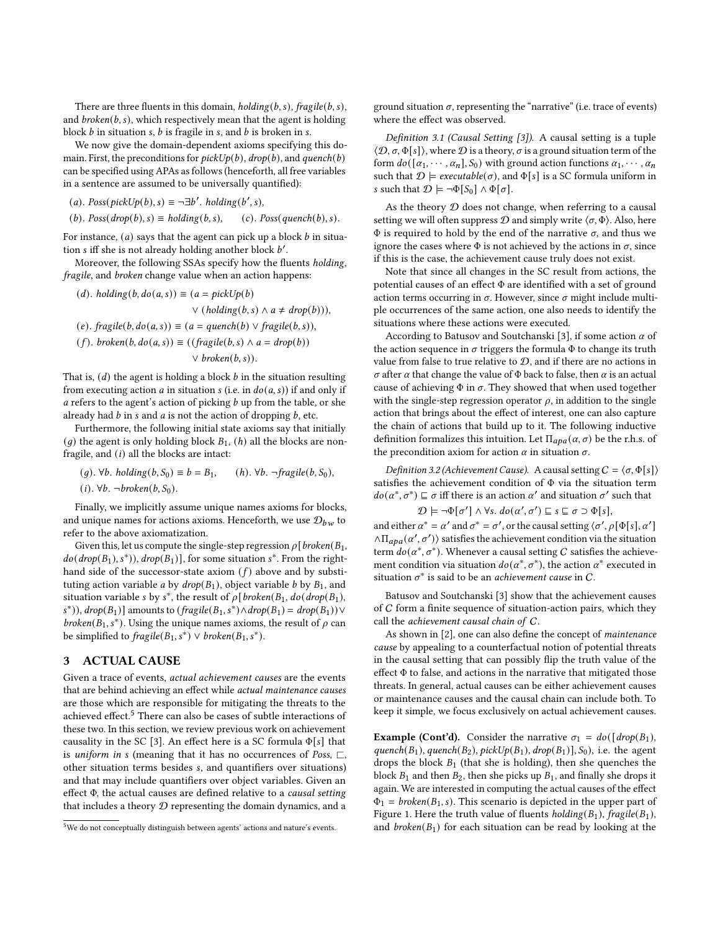There are three fluents in this domain,  $holding(b, s)$ ,  $fragile(b, s)$ , and  $broken(b, s)$ , which respectively mean that the agent is holding block  $b$  in situation  $s$ ,  $b$  is fragile in  $s$ , and  $b$  is broken in  $s$ .

We now give the domain-dependent axioms specifying this domain. First, the preconditions for  $pickUp(b)$ ,  $drop(b)$ , and quench(b) can be specified using APAs as follows (henceforth, all free variables in a sentence are assumed to be universally quantified):

(a). 
$$
Poss(pickUp(b), s) \equiv \neg \exists b'
$$
.  $holding(b', s)$ ,

(b). Poss( $drop(b), s$ )  $\equiv$  holding(b, s), (c). Poss(quench(b), s).

For instance,  $(a)$  says that the agent can pick up a block  $b$  in situation s iff she is not already holding another block  $b'$ .

Moreover, the following SSAs specify how the fluents holding, fragile, and broken change value when an action happens:

\n- (d). holding 
$$
(b, do(a, s)) \equiv (a = pickUp(b) \vee (holding(b, s) \wedge a \neq drop(b))),
$$
\n- (e).  $fragile(b, do(a, s)) \equiv (a = quench(b) \vee fragile(b, s)),$
\n- (f).  $broken(b, do(a, s)) \equiv ((fragile(b, s) \wedge a = drop(b)) \vee broken(b, s)).$
\n

That is,  $(d)$  the agent is holding a block  $b$  in the situation resulting from executing action *a* in situation *s* (i.e. in  $do(a, s)$ ) if and only if a refers to the agent's action of picking  $b$  up from the table, or she already had  $b$  in  $s$  and  $a$  is not the action of dropping  $b$ , etc.

Furthermore, the following initial state axioms say that initially (*g*) the agent is only holding block  $B_1$ , (*h*) all the blocks are nonfragile, and  $(i)$  all the blocks are intact:

(q).  $\forall b$ . holding $(b, S_0) \equiv b = B_1$ , (h).  $\forall b$ . ¬fragile $(b, S_0)$ ,  $(i)$ .  $\forall b$ . ¬broken $(b, S_0)$ .

Finally, we implicitly assume unique names axioms for blocks, and unique names for actions axioms. Henceforth, we use  $\mathcal{D}_{hw}$  to refer to the above axiomatization.

Given this, let us compute the single-step regression  $\rho$  [*broken*( $B_1$ ,  $do(drop(B_1), s^*))$ ,  $drop(B_1)]$ , for some situation  $s^*$ . From the righthand side of the successor-state axiom  $(f)$  above and by substituting action variable *a* by  $drop(B_1)$ , object variable *b* by  $B_1$ , and situation variable s by s<sup>\*</sup>, the result of  $\rho$ [broken(B<sub>1</sub>, do(drop(B<sub>1</sub>), s<sup>\*</sup>)),  $drop(B_1)$ ] amounts to  $(fragile(B_1, s^*) \wedge drop(B_1) = drop(B_1)) \vee$ broken( $B_1$ , s<sup>\*</sup>). Using the unique names axioms, the result of  $\rho$  can be simplified to  $\text{fragile}(B_1, s^*) \lor \text{broken}(B_1, s^*)$ .

## 3 ACTUAL CAUSE

Given a trace of events, actual achievement causes are the events that are behind achieving an effect while actual maintenance causes are those which are responsible for mitigating the threats to the achieved effect.[5](#page-2-0) There can also be cases of subtle interactions of these two. In this section, we review previous work on achievement causality in the SC [\[3\]](#page-8-14). An effect here is a SC formula  $\Phi[s]$  that is *uniform in s* (meaning that it has no occurrences of Poss,  $\sqsubset$ , other situation terms besides , and quantifiers over situations) and that may include quantifiers over object variables. Given an effect Φ, the actual causes are defined relative to a causal setting that includes a theory  $D$  representing the domain dynamics, and a

ground situation  $\sigma$ , representing the "narrative" (i.e. trace of events) where the effect was observed.

Definition 3.1 (Causal Setting [\[3\]](#page-8-14)). A causal setting is a tuple  $\langle \mathcal{D}, \sigma, \Phi[s] \rangle$ , where  $\mathcal D$  is a theory,  $\sigma$  is a ground situation term of the form  $do([a_1, \cdots, a_n], S_0)$  with ground action functions  $a_1, \cdots, a_n$ such that  $\mathcal{D} \models$  executable( $\sigma$ ), and  $\Phi[s]$  is a SC formula uniform in s such that  $\mathcal{D} \models \neg \Phi[S_0] \land \Phi[\sigma]$ .

As the theory  $D$  does not change, when referring to a causal setting we will often suppress  $D$  and simply write  $\langle \sigma, \Phi \rangle$ . Also, here  $Φ$  is required to hold by the end of the narrative  $σ$ , and thus we ignore the cases where  $\Phi$  is not achieved by the actions in  $\sigma$ , since if this is the case, the achievement cause truly does not exist.

Note that since all changes in the SC result from actions, the potential causes of an effect Φ are identified with a set of ground action terms occurring in  $\sigma$ . However, since  $\sigma$  might include multiple occurrences of the same action, one also needs to identify the situations where these actions were executed.

According to Batusov and Soutchanski [\[3\]](#page-8-14), if some action  $\alpha$  of the action sequence in  $\sigma$  triggers the formula  $\Phi$  to change its truth value from false to true relative to  $D$ , and if there are no actions in  $\sigma$  after  $\alpha$  that change the value of  $\Phi$  back to false, then  $\alpha$  is an actual cause of achieving  $\Phi$  in  $\sigma$ . They showed that when used together with the single-step regression operator  $\rho$ , in addition to the single action that brings about the effect of interest, one can also capture the chain of actions that build up to it. The following inductive definition formalizes this intuition. Let  $\Pi_{apa}(\alpha, \sigma)$  be the r.h.s. of the precondition axiom for action  $\alpha$  in situation  $\sigma$ .

<span id="page-2-1"></span>Definition 3.2 (Achievement Cause). A causal setting  $C = \langle \sigma, \Phi[s] \rangle$ satisfies the achievement condition of Φ via the situation term  $do(\alpha^*, \sigma^*) \sqsubseteq \sigma$  iff there is an action  $\alpha'$  and situation  $\sigma'$  such that

$$
\mathcal{D} \models \neg \Phi[\sigma'] \land \forall s. \, do(\alpha', \sigma') \sqsubseteq s \sqsubseteq \sigma \supset \Phi[s],
$$

and either  $\alpha^* = \alpha'$  and  $\sigma^* = \sigma'$ , or the causal setting  $\langle \sigma', \rho[\Phi[s], \alpha'] \rangle$  $\wedge \Pi_{\alpha \rho a}(\alpha',\sigma')\$  satisfies the achievement condition via the situation term  $do(\alpha^*, \sigma^*)$ . Whenever a causal setting C satisfies the achievement condition via situation  $do(\alpha^*, \sigma^*)$ , the action  $\alpha^*$  executed in situation  $\sigma^*$  is said to be an *achievement cause* in C.

Batusov and Soutchanski [\[3\]](#page-8-14) show that the achievement causes of C form a finite sequence of situation-action pairs, which they call the achievement causal chain of C.

As shown in [\[2\]](#page-8-22), one can also define the concept of maintenance cause by appealing to a counterfactual notion of potential threats in the causal setting that can possibly flip the truth value of the effect  $\Phi$  to false, and actions in the narrative that mitigated those threats. In general, actual causes can be either achievement causes or maintenance causes and the causal chain can include both. To keep it simple, we focus exclusively on actual achievement causes.

**Example (Cont'd).** Consider the narrative  $\sigma_1 = do(\frac{d}{d}rop(B_1))$ , quench( $B_1$ ), quench( $B_2$ ), pickUp( $B_1$ ), drop( $B_1$ )],  $S_0$ ), i.e. the agent drops the block  $B_1$  (that she is holding), then she quenches the block  $B_1$  and then  $B_2$ , then she picks up  $B_1$ , and finally she drops it again. We are interested in computing the actual causes of the effect  $\Phi_1 = broken(B_1, s)$ . This scenario is depicted in the upper part of Figure [1.](#page-3-0) Here the truth value of fluents  $holding(B_1)$ ,  $fragile(B_1)$ , and  $broken(B_1)$  for each situation can be read by looking at the

<span id="page-2-0"></span><sup>5</sup>We do not conceptually distinguish between agents' actions and nature's events.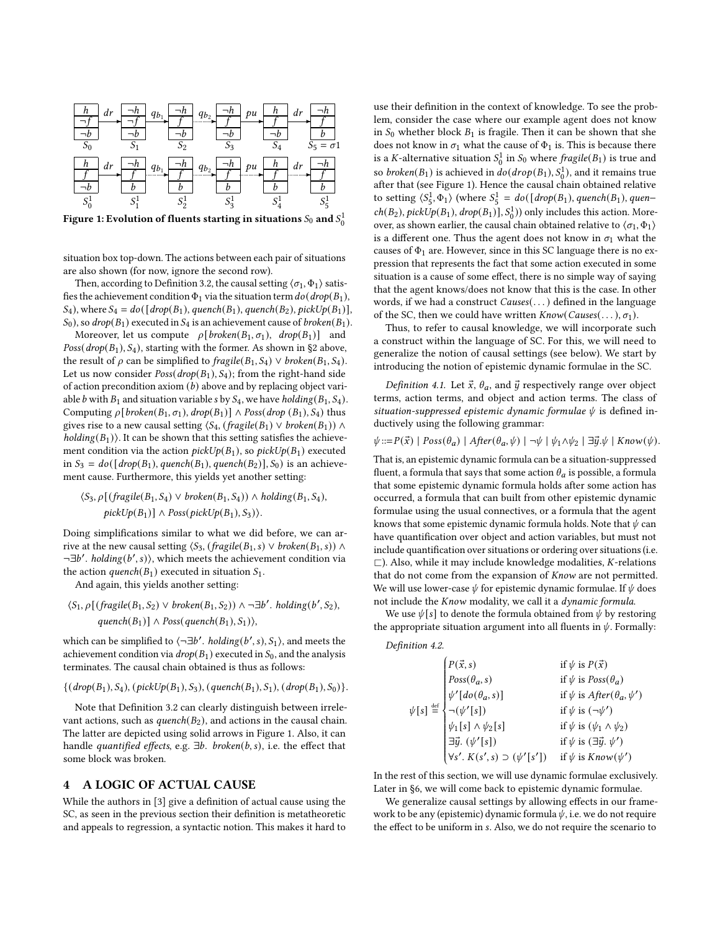<span id="page-3-0"></span>

Figure 1: Evolution of fluents starting in situations  $\overline{S_0}$  and  $\overline{S_0^1}$ 

situation box top-down. The actions between each pair of situations are also shown (for now, ignore the second row).

Then, according to Definition [3.2,](#page-2-1) the causal setting  $\langle \sigma_1, \Phi_1 \rangle$  satisfies the achievement condition  $\Phi_1$  via the situation term  $do(drop(B_1),$  $S_4$ ), where  $S_4 = do([drop(B_1), quench(B_1), quench(B_2), pickUp(B_1)],$  $S_0$ ), so drop( $B_1$ ) executed in  $S_4$  is an achievement cause of broken( $B_1$ ).

Moreover, let us compute  $\rho[broken(B_1, \sigma_1), drop(B_1)]$  and  $Poss(drop(B_1), S_4)$ , starting with the former. As shown in §2 above, the result of  $\rho$  can be simplified to fragile( $B_1, S_4$ )  $\vee$  broken( $B_1, S_4$ ). Let us now consider  $Poss(drop(B_1), S_4)$ ; from the right-hand side of action precondition axiom  $(b)$  above and by replacing object variable b with  $B_1$  and situation variable s by  $S_4$ , we have holding( $B_1$ ,  $S_4$ ). Computing  $\rho[broken(B_1, \sigma_1), drop(B_1)] \wedge Poss(drop(B_1), S_4)$  thus gives rise to a new causal setting  $\langle S_4, (fragile(B_1) \vee broken(B_1)) \wedge$  $holding(B_1)$ ). It can be shown that this setting satisfies the achievement condition via the action  $pickUp(B_1)$ , so  $pickUp(B_1)$  executed in  $S_3 = do({\lbrace drop(B_1), quench(B_1), quench(B_2) \rbrace}, S_0)$  is an achievement cause. Furthermore, this yields yet another setting:

$$
\langle S_3, \rho \left[ \left( \text{fragile}(B_1, S_4) \vee \text{broken}(B_1, S_4) \right) \wedge \text{ holding}(B_1, S_4), \right. \\
\text{pickUp}(B_1) \right] \wedge \text{Poss}(\text{pickUp}(B_1), S_3) \rangle.
$$

Doing simplifications similar to what we did before, we can arrive at the new causal setting  $\langle S_3, (fragile(B_1, s) \vee broken(B_1, s)) \wedge$  $\neg \exists b'. \; holding(b', s)$ , which meets the achievement condition via the action *quench*( $B_1$ ) executed in situation  $S_1$ .

And again, this yields another setting:

 $\langle S_1, \rho \left[ \left( \frac{f}{B_1}, S_2 \right) \vee \frac{b}{B_1}, S_2 \right) \rangle \wedge \neg \exists b'. \; holding(b', S_2),$ quench $(B_1)$ ]  $\land$  Poss(quench $(B_1), S_1$ )),

which can be simplified to  $\langle \neg \exists b'.\; holding(b', s), S_1 \rangle$ , and meets the achievement condition via  $drop(B_1)$  executed in  $S_0$ , and the analysis terminates. The causal chain obtained is thus as follows:

$$
\{(drop(B_1), S_4), (pickUp(B_1), S_3), (quench(B_1), S_1), (drop(B_1), S_0)\}.
$$

Note that Definition [3.2](#page-2-1) can clearly distinguish between irrelevant actions, such as  $quench(B_2)$ , and actions in the causal chain. The latter are depicted using solid arrows in Figure [1.](#page-3-0) Also, it can handle quantified effects, e.g.  $\exists b$ . broken(b, s), i.e. the effect that some block was broken.

# 4 A LOGIC OF ACTUAL CAUSE

While the authors in [\[3\]](#page-8-14) give a definition of actual cause using the SC, as seen in the previous section their definition is metatheoretic and appeals to regression, a syntactic notion. This makes it hard to use their definition in the context of knowledge. To see the problem, consider the case where our example agent does not know in  $S_0$  whether block  $B_1$  is fragile. Then it can be shown that she does not know in  $\sigma_1$  what the cause of  $\Phi_1$  is. This is because there is a *K*-alternative situation  $S_0^1$  in  $S_0$  where *fragile*( $B_1$ ) is true and so *broken*( $B_1$ ) is achieved in  $do(drop(B_1), S_0^1)$ , and it remains true after that (see Figure [1\)](#page-3-0). Hence the causal chain obtained relative to setting  $\langle S_5^1, \Phi_1 \rangle$  (where  $S_5^1 = do([drop(B_1), quench(B_1), quen$  $ch(B_2)$ ,  $pickUp(B_1)$ ,  $drop(B_1)$ ],  $S_0^1$ )) only includes this action. Moreover, as shown earlier, the causal chain obtained relative to  $\langle \sigma_1, \Phi_1 \rangle$ is a different one. Thus the agent does not know in  $\sigma_1$  what the causes of  $\Phi_1$  are. However, since in this SC language there is no expression that represents the fact that some action executed in some situation is a cause of some effect, there is no simple way of saying that the agent knows/does not know that this is the case. In other words, if we had a construct Causes(. . . ) defined in the language of the SC, then we could have written  $Know(Causes(\ldots), \sigma_1)$ .

Thus, to refer to causal knowledge, we will incorporate such a construct within the language of SC. For this, we will need to generalize the notion of causal settings (see below). We start by introducing the notion of epistemic dynamic formulae in the SC.

Definition 4.1. Let  $\vec{x}$ ,  $\theta_a$ , and  $\vec{y}$  respectively range over object terms, action terms, and object and action terms. The class of situation-suppressed epistemic dynamic formulae  $\psi$  is defined inductively using the following grammar:

$$
\psi ::= P(\vec{x}) \mid Poss(\theta_a) \mid After(\theta_a, \psi) \mid \neg \psi \mid \psi_1 \land \psi_2 \mid \exists \vec{y}.\psi \mid Know(\psi).
$$

That is, an epistemic dynamic formula can be a situation-suppressed fluent, a formula that says that some action  $\theta_a$  is possible, a formula that some epistemic dynamic formula holds after some action has occurred, a formula that can built from other epistemic dynamic formulae using the usual connectives, or a formula that the agent knows that some epistemic dynamic formula holds. Note that  $\psi$  can have quantification over object and action variables, but must not include quantification over situations or ordering over situations (i.e.  $\Box$ ). Also, while it may include knowledge modalities, *K*-relations that do not come from the expansion of Know are not permitted. We will use lower-case  $\psi$  for epistemic dynamic formulae. If  $\psi$  does not include the *Know* modality, we call it a *dynamic formula*.

We use  $\psi[s]$  to denote the formula obtained from  $\psi$  by restoring the appropriate situation argument into all fluents in  $\psi$ . Formally:

<span id="page-3-1"></span>Definition 4.2.

| $\begin{aligned} P(\vec{x},s) \\ \text{Poss}(\theta_{a},s) \\ \psi'[do(\theta_{a},s)] \\ \eta \stackrel{\text{def}}{=} \begin{cases} -(\psi'[s]) \\ \neg(\psi'[s]) \\ \exists \vec{y}. \ (\psi'[s]) \\ \forall s'. \ K(s',s) \supset (\psi'[s']) \end{cases} \end{aligned}$ | if $\psi$ is $P(\vec{x})$<br>if $\psi$ is $Poss(\theta_a)$<br>if $\psi$ is $After(\theta_a, \psi')$<br>if $\psi$ is $(\neg \psi')$<br>if $\psi$ is $(\psi_1 \wedge \psi_2)$<br>if $\psi$ is $(\exists \vec{y} . \: \psi')$ |
|-----------------------------------------------------------------------------------------------------------------------------------------------------------------------------------------------------------------------------------------------------------------------------|----------------------------------------------------------------------------------------------------------------------------------------------------------------------------------------------------------------------------|
|                                                                                                                                                                                                                                                                             | if $\psi$ is $Know(\psi')$                                                                                                                                                                                                 |

 In the rest of this section, we will use dynamic formulae exclusively. Later in [§6,](#page-6-0) we will come back to epistemic dynamic formulae.

We generalize causal settings by allowing effects in our framework to be any (epistemic) dynamic formula  $\psi$ , i.e. we do not require the effect to be uniform in s. Also, we do not require the scenario to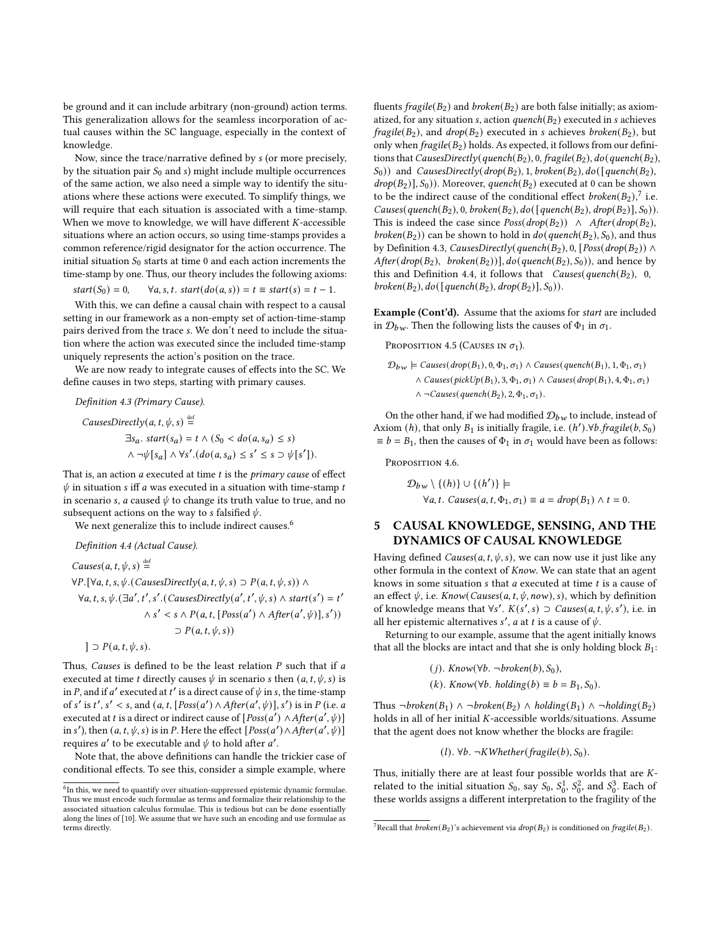be ground and it can include arbitrary (non-ground) action terms. This generalization allows for the seamless incorporation of actual causes within the SC language, especially in the context of knowledge.

Now, since the trace/narrative defined by s (or more precisely, by the situation pair  $S_0$  and s) might include multiple occurrences of the same action, we also need a simple way to identify the situations where these actions were executed. To simplify things, we will require that each situation is associated with a time-stamp. When we move to knowledge, we will have different  $K$ -accessible situations where an action occurs, so using time-stamps provides a common reference/rigid designator for the action occurrence. The initial situation  $S_0$  starts at time 0 and each action increments the time-stamp by one. Thus, our theory includes the following axioms:

 $start(S_0) = 0, \quad \forall a, s, t. start(do(a, s)) = t \equiv start(s) = t - 1.$ 

With this, we can define a causal chain with respect to a causal setting in our framework as a non-empty set of action-time-stamp pairs derived from the trace s. We don't need to include the situation where the action was executed since the included time-stamp uniquely represents the action's position on the trace.

We are now ready to integrate causes of effects into the SC. We define causes in two steps, starting with primary causes.

<span id="page-4-2"></span>Definition 4.3 (Primary Cause).

CausesDirectly(a, t, 
$$
\psi
$$
, s)  $\stackrel{\text{def}}{=} \exists s_a$ . start(s\_a) = t \land (S\_0 < do(a, s\_a) \leq s)

\n\n $\land \neg \psi[s_a] \land \forall s'.(do(a, s_a) \leq s' \leq s \supset \psi[s'])$ \n

That is, an action  $a$  executed at time  $t$  is the *primary cause* of effect  $\psi$  in situation *s* iff *a* was executed in a situation with time-stamp *t* in scenario s, a caused  $\psi$  to change its truth value to true, and no subsequent actions on the way to *s* falsified  $\psi$ .

We next generalize this to include indirect causes.<sup>[6](#page-4-0)</sup>

<span id="page-4-3"></span>Definition 4.4 (Actual Cause).

Causes(a, t, 
$$
\psi
$$
, s)  $\stackrel{\text{def}}{=}$ 

\n $\forall P. [\forall a, t, s, \psi. (CausesDirectly(a, t,  $\psi, s) \supset P(a, t, \psi, s)) \land \forall a, t, s, \psi. (\exists a', t', s'. (CausesDirectly(a', t',  $\psi, s) \land start(s') = t' \land s' < s \land P(a, t, [Poss(a') \land After(a', \psi)], s'))$$$ 

\n $\supset P(a, t, \psi, s)$ 

\n $\supset P(a, t, \psi, s)$ 

Thus, Causes is defined to be the least relation  $P$  such that if  $a$ executed at time *t* directly causes  $\psi$  in scenario *s* then  $(a, t, \psi, s)$  is in P, and if a' executed at t' is a direct cause of  $\psi$  in s, the time-stamp of s' is t', s' < s, and  $(a, t, [Poss(a') \land After(a', \psi)], s')$  is in P (i.e. a executed at *t* is a direct or indirect cause of  $[Pos(a') \land After(a', \psi)]$ in s'), then  $(a, t, \psi, s)$  is in P. Here the effect  $[Poss(a') \land After(a', \psi)]$ requires a' to be executable and  $\psi$  to hold after a'.

Note that, the above definitions can handle the trickier case of conditional effects. To see this, consider a simple example, where

fluents fragile( $B_2$ ) and broken( $B_2$ ) are both false initially; as axiomatized, for any situation s, action quench( $B_2$ ) executed in s achieves  $fragile(B_2)$ , and  $drop(B_2)$  executed in *s* achieves *broken*( $B_2$ ), but only when  $fragile(B_2)$  holds. As expected, it follows from our definitions that CausesDirectly(quench( $B_2$ ), 0, fragile( $B_2$ ),  $do$ (quench( $B_2$ ),  $S_0$ )) and *CausesDirectly(drop(B<sub>2</sub>), 1, broken(B<sub>2</sub>),*  $do( [quench(B_2),$  $drop(B_2)$ ],  $S_0$ )). Moreover, quench( $B_2$ ) executed at 0 can be shown to be the indirect cause of the conditional effect *broken*( $B_2$ ),<sup>[7](#page-4-1)</sup> i.e. Causes(quench( $B_2$ ), 0, broken( $B_2$ ), do([quench( $B_2$ ), drop( $B_2$ )],  $S_0$ )). This is indeed the case since  $Poss(drop(B_2)) \wedge After(drop(B_2),$ broken( $B_2$ )) can be shown to hold in  $do(quench(B_2), S_0)$ , and thus by Definition [4.3,](#page-4-2) CausesDirectly(quench( $B_2$ ), 0, [Poss(drop( $B_2$ )) ∧  $After(drop(B_2), broken(B_2))$ ,  $do(quench(B_2), S_0)$ , and hence by this and Definition [4.4,](#page-4-3) it follows that *Causes*( $quench(B_2)$ , 0, broken( $B_2$ ),  $do([quench(B_2), drop(B_2)], S_0)$ ).

Example (Cont'd). Assume that the axioms for start are included in  $\mathcal{D}_{bw}$ . Then the following lists the causes of  $\Phi_1$  in  $\sigma_1$ .

PROPOSITION 4.5 (CAUSES IN  $\sigma_1$ ).

$$
\mathcal{D}_{bw} \models \text{Causes}(\text{drop}(B_1), 0, \Phi_1, \sigma_1) \land \text{Causes}(\text{quench}(B_1), 1, \Phi_1, \sigma_1)
$$
  
 
$$
\land \text{Causes}(\text{pickUp}(B_1), 3, \Phi_1, \sigma_1) \land \text{Causes}(\text{drop}(B_1), 4, \Phi_1, \sigma_1)
$$
  
 
$$
\land \neg \text{Causes}(\text{quench}(B_2), 2, \Phi_1, \sigma_1).
$$

On the other hand, if we had modified  $\mathcal{D}_{bw}$  to include, instead of Axiom (h), that only  $B_1$  is initially fragile, i.e.  $(h')$ . $\forall b$ . fragile $(b, S_0)$  $\equiv b = B_1$ , then the causes of  $\Phi_1$  in  $\sigma_1$  would have been as follows:

PROPOSITION 4.6.

$$
\mathcal{D}_{bw} \setminus \{(h)\} \cup \{(h')\} \models
$$
  
\forall a, t. *Causes*(a, t,  $\Phi_1$ ,  $\sigma_1$ )  $\equiv a = drop(B_1) \land t = 0$ .

## 5 CAUSAL KNOWLEDGE, SENSING, AND THE DYNAMICS OF CAUSAL KNOWLEDGE

Having defined *Causes*( $a, t, \psi, s$ ), we can now use it just like any other formula in the context of Know. We can state that an agent knows in some situation  $s$  that  $a$  executed at time  $t$  is a cause of an effect  $\psi$ , i.e. *Know*(*Causes*( $a$ ,  $t$ ,  $\psi$ ,  $now$ ),  $s$ ), which by definition of knowledge means that  $\forall s'$ .  $K(s', s)$  ⊃ Causes(a, t,  $\psi$ , s'), i.e. in all her epistemic alternatives s', a at t is a cause of  $\psi$ .

Returning to our example, assume that the agent initially knows that all the blocks are intact and that she is only holding block  $B_1$ :

\n- (*j*). 
$$
Know(\forall b. \neg broken(b), S_0),
$$
\n- (*k*).  $Know(\forall b. holding(b) \equiv b = B_1, S_0).$
\n

Thus ¬broken( $B_1$ ) ∧ ¬broken( $B_2$ ) ∧ holding( $B_1$ ) ∧ ¬holding( $B_2$ ) holds in all of her initial  $K$ -accessible worlds/situations. Assume that the agent does not know whether the blocks are fragile:

$$
(l). \forall b. \neg KWhether(fragile(b), S_0).
$$

Thus, initially there are at least four possible worlds that are  $K$ related to the initial situation  $S_0$ , say  $S_0$ ,  $S_0^1$ ,  $S_0^2$ , and  $S_0^3$ . Each of these worlds assigns a different interpretation to the fragility of the

<span id="page-4-0"></span> $^6$ In this, we need to quantify over situation-suppressed epistemic dynamic formulae. Thus we must encode such formulae as terms and formalize their relationship to the associated situation calculus formulae. This is tedious but can be done essentially along the lines of [\[10\]](#page-8-23). We assume that we have such an encoding and use formulae as terms directly.

<span id="page-4-1"></span><sup>&</sup>lt;sup>7</sup>Recall that *broken*( $B_2$ )'s achievement via *drop*( $B_2$ ) is conditioned on *fragile*( $B_2$ ).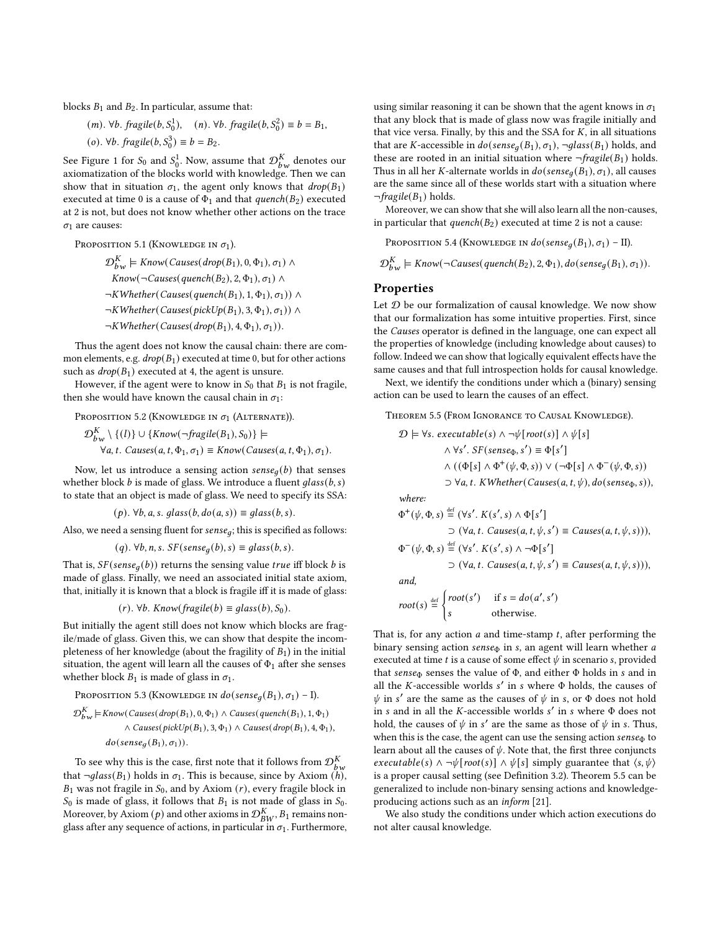blocks  $B_1$  and  $B_2$ . In particular, assume that:

(*m*). 
$$
\forall b
$$
. *fragile*(*b*, *S*<sub>0</sub><sup>1</sup>), (*n*).  $\forall b$ . *fragile*(*b*, *S*<sub>0</sub><sup>2</sup>)  $\equiv b = B_1$ ,  
(*o*).  $\forall b$ . *fragile*(*b*, *S*<sub>0</sub><sup>3</sup>)  $\equiv b = B_2$ .

See Figure [1](#page-3-0) for  $S_0$  and  $S_0^1$ . Now, assume that  $\mathcal{D}_{b w}^K$  denotes our axiomatization of the blocks world with knowledge. Then we can show that in situation  $\sigma_1$ , the agent only knows that  $drop(B_1)$ executed at time 0 is a cause of  $\Phi_1$  and that quench( $B_2$ ) executed at 2 is not, but does not know whether other actions on the trace  $\sigma_1$  are causes:

PROPOSITION 5.1 (KNOWLEDGE IN  $\sigma_1$ ).

$$
\mathcal{D}_{bw}^{K} \models Know(Causes(drop(B_1), 0, \Phi_1), \sigma_1) \land
$$
  
\n
$$
Know(\neg Causes(quench(B_2), 2, \Phi_1), \sigma_1) \land
$$
  
\n
$$
\neg KWhether(Causes(quench(B_1), 1, \Phi_1), \sigma_1)) \land
$$
  
\n
$$
\neg KWhether(Causes(pickUp(B_1), 3, \Phi_1), \sigma_1)) \land
$$
  
\n
$$
\neg KWhether(Causes(drop(B_1), 4, \Phi_1), \sigma_1)).
$$

Thus the agent does not know the causal chain: there are common elements, e.g.  $drop(B_1)$  executed at time 0, but for other actions such as  $drop(B_1)$  executed at 4, the agent is unsure.

However, if the agent were to know in  $S_0$  that  $B_1$  is not fragile, then she would have known the causal chain in  $\sigma_1$ :

PROPOSITION 5.2 (KNOWLEDGE IN  $\sigma_1$  (ALTERNATE)).

$$
\mathcal{D}_{bw}^K \setminus \{ (l) \} \cup \{ Know(\neg fragile(B_1), S_0) \} \models
$$
  

$$
\forall a, t. \text{ Causes}(a, t, \Phi_1, \sigma_1) \equiv Know(Causes(a, t, \Phi_1), \sigma_1).
$$

Now, let us introduce a sensing action  $\textit{sense}_a(b)$  that senses whether block  $b$  is made of glass. We introduce a fluent  $glass(b, s)$ to state that an object is made of glass. We need to specify its SSA:

 $(p)$ .  $\forall b, a, s.$  glass $(b, do(a, s)) \equiv glass(b, s).$ 

Also, we need a sensing fluent for  $sense_a$ ; this is specified as follows:

$$
(q)
$$
.  $\forall b, n, s$ .  $SF(sense_q(b), s) \equiv glass(b, s)$ .

That is,  $SF(sense_q(b))$  returns the sensing value *true* iff block *b* is made of glass. Finally, we need an associated initial state axiom, that, initially it is known that a block is fragile iff it is made of glass:

$$
(r). \forall b. Know(fragile(b) \equiv glass(b), S_0).
$$

But initially the agent still does not know which blocks are fragile/made of glass. Given this, we can show that despite the incompleteness of her knowledge (about the fragility of  $B_1$ ) in the initial situation, the agent will learn all the causes of  $\Phi_1$  after she senses whether block  $B_1$  is made of glass in  $\sigma_1$ .

PROPOSITION 5.3 (KNOWLEDGE IN 
$$
do(sense_g(B_1), \sigma_1) - I
$$
).  
\n
$$
\mathcal{D}_{bw}^K \models Know(Causes(drop(B_1), 0, \Phi_1) \land Causes(quench(B_1), 1, \Phi_1)
$$
\n
$$
\land \text{Causes(pickUp(B_1), 3, \Phi_1)} \land \text{Causes(drop(B_1), 4, \Phi_1)},
$$
\n
$$
do(sense_g(B_1), \sigma_1)).
$$

To see why this is the case, first note that it follows from  $\mathcal{D}_{b\, w}^{K}$ that  $\neg glass(B_1)$  holds in  $\sigma_1$ . This is because, since by Axiom  $(h)$ ,  $B_1$  was not fragile in  $S_0$ , and by Axiom (r), every fragile block in  $S_0$  is made of glass, it follows that  $B_1$  is not made of glass in  $S_0$ . Moreover, by Axiom  $(p)$  and other axioms in  $\mathcal{D}_{BW}^K$ ,  $B_1$  remains nonglass after any sequence of actions, in particular in  $\sigma_1$ . Furthermore, using similar reasoning it can be shown that the agent knows in  $\sigma_1$ that any block that is made of glass now was fragile initially and that vice versa. Finally, by this and the SSA for  $K$ , in all situations that are K-accessible in  $do(sense<sub>a</sub>(B<sub>1</sub>), \sigma<sub>1</sub>), \neg glass(B<sub>1</sub>)$  holds, and these are rooted in an initial situation where  $\neg \text{fragile}(B_1)$  holds. Thus in all her K-alternate worlds in  $do(sense_q(B_1), \sigma_1)$ , all causes are the same since all of these worlds start with a situation where  $\neg \text{fragile}(B_1)$  holds.

Moreover, we can show that she will also learn all the non-causes, in particular that  $quench(B_2)$  executed at time 2 is not a cause:

PROPOSITION 5.4 (KNOWLEDGE IN  $do(sense_a(B_1), \sigma_1) -$ II).

 $\mathcal{D}_{bw}^K \models$  Know(¬Causes(quench(B<sub>2</sub>), 2,  $\Phi_1$ ),  $do(sense_g(B_1), \sigma_1)$ ).

#### Properties

Let  ${\mathcal D}$  be our formalization of causal knowledge. We now show that our formalization has some intuitive properties. First, since the Causes operator is defined in the language, one can expect all the properties of knowledge (including knowledge about causes) to follow. Indeed we can show that logically equivalent effects have the same causes and that full introspection holds for causal knowledge.

Next, we identify the conditions under which a (binary) sensing action can be used to learn the causes of an effect.

<span id="page-5-0"></span>Theorem 5.5 (From Ignorance to Causal Knowledge).

$$
\mathcal{D} \models \forall s. \; executeable(s) \land \neg \psi[root(s)] \land \psi[s]
$$
\n
$$
\land \forall s'. \; SF(sense_{\Phi}, s') \equiv \Phi[s']
$$
\n
$$
\land ((\Phi[s] \land \Phi^+(\psi, \Phi, s)) \lor (\neg \Phi[s] \land \Phi^-(\psi, \Phi, s))
$$
\n
$$
\supset \forall a, t. \; KWhether(Causes(a, t, \psi), do(sense_{\Phi}, s)),
$$

where:

$$
\Phi^+(\psi, \Phi, s) \stackrel{\text{def}}{=} (\forall s'. K(s', s) \land \Phi[s']\n\supset (\forall a, t. \text{ Causes}(a, t, \psi, s') \equiv \text{ Causes}(a, t, \psi, s))),\n\Phi^-(\psi, \Phi, s) \stackrel{\text{def}}{=} (\forall s'. K(s', s) \land \neg \Phi[s']\n\supset (\forall a, t. \text{ Causes}(a, t, \psi, s') \equiv \text{ Causes}(a, t, \psi, s))),
$$

and,

$$
root(s) \stackrel{\text{def}}{=} \begin{cases} root(s') & \text{if } s = do(a', s') \\ s & \text{otherwise.} \end{cases}
$$

That is, for any action  $a$  and time-stamp  $t$ , after performing the binary sensing action  $sense_{\Phi}$  in s, an agent will learn whether a executed at time  $t$  is a cause of some effect  $\psi$  in scenario s, provided that sense<sub> $\Phi$ </sub> senses the value of  $\Phi$ , and either  $\Phi$  holds in s and in all the  $K$ -accessible worlds  $s'$  in  $s$  where  $\Phi$  holds, the causes of  $\psi$  in s' are the same as the causes of  $\psi$  in s, or  $\Phi$  does not hold in s and in all the K-accessible worlds  $s'$  in s where  $\Phi$  does not hold, the causes of  $\psi$  in s' are the same as those of  $\psi$  in s. Thus, when this is the case, the agent can use the sensing action  $sense_{\Phi}$  to learn about all the causes of  $\psi$ . Note that, the first three conjuncts *executable(s)*  $\land \neg \psi$ [root(s)]  $\land \psi$ [s] simply guarantee that  $\langle s, \psi \rangle$ is a proper causal setting (see Definition [3.2\)](#page-2-1). Theorem [5.5](#page-5-0) can be generalized to include non-binary sensing actions and knowledgeproducing actions such as an inform [\[21\]](#page-8-24).

We also study the conditions under which action executions do not alter causal knowledge.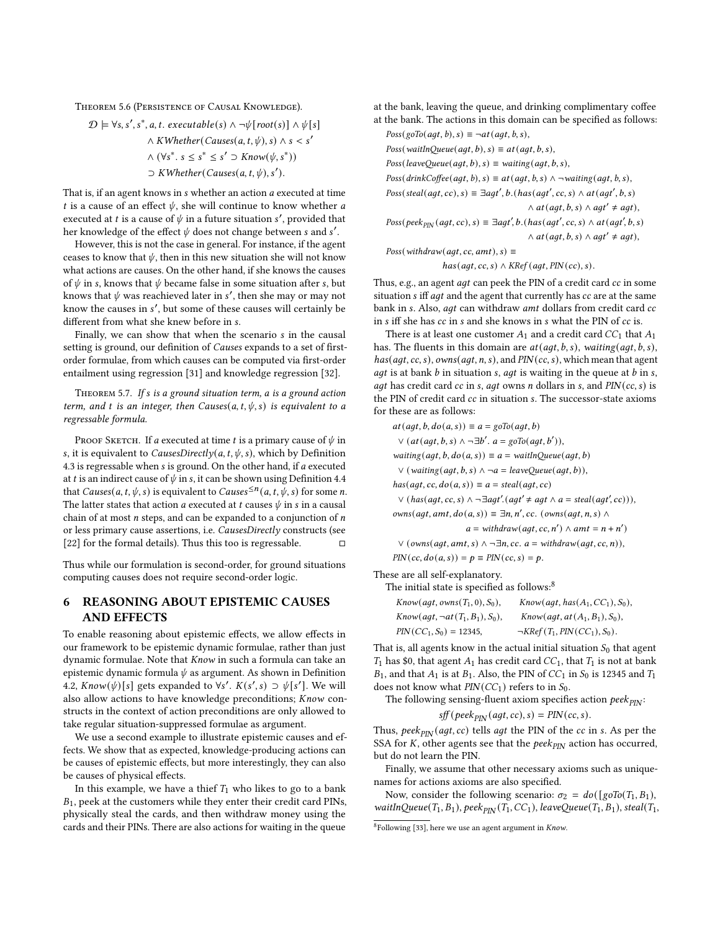Theorem 5.6 (Persistence of Causal Knowledge).

$$
\mathcal{D} \models \forall s, s', s^*, a, t. \text{ executable}(s) \land \neg \psi[\text{root}(s)] \land \psi[s]
$$

$$
\land \text{KWhether}(Causes(a, t, \psi), s) \land s < s'
$$

$$
\land (\forall s^*, s \leq s^* \leq s' \supset \text{Know}(\psi, s^*))
$$

$$
\supset \text{KWhether}(Causes(a, t, \psi), s').
$$

That is, if an agent knows in  $s$  whether an action  $a$  executed at time t is a cause of an effect  $\psi$ , she will continue to know whether a executed at t is a cause of  $\psi$  in a future situation s', provided that her knowledge of the effect  $\psi$  does not change between  $s$  and  $s'$ .

However, this is not the case in general. For instance, if the agent ceases to know that  $\psi$ , then in this new situation she will not know what actions are causes. On the other hand, if she knows the causes of  $\psi$  in s, knows that  $\psi$  became false in some situation after s, but knows that  $\psi$  was reachieved later in s', then she may or may not know the causes in s', but some of these causes will certainly be different from what she knew before in s.

Finally, we can show that when the scenario s in the causal setting is ground, our definition of Causes expands to a set of firstorder formulae, from which causes can be computed via first-order entailment using regression [\[31\]](#page-8-15) and knowledge regression [\[32\]](#page-8-20).

THEOREM 5.7. If  $s$  is a ground situation term,  $a$  is a ground action term, and t is an integer, then Causes( $a, t, \psi, s$ ) is equivalent to a regressable formula.

PROOF SKETCH. If a executed at time t is a primary cause of  $\psi$  in s, it is equivalent to *CausesDirectly*( $a$ ,  $t$ ,  $\psi$ ,  $s$ ), which by Definition [4.3](#page-4-2) is regressable when  $s$  is ground. On the other hand, if  $a$  executed at t is an indirect cause of  $\psi$  in s, it can be shown using Definition [4.4](#page-4-3) that *Causes*(*a*, *t*, *ψ*, *s*) is equivalent to *Causes*<sup> $\leq n$ </sup>(*a*, *t*, *ψ*, *s*) for some *n*. The latter states that action *a* executed at *t* causes  $\psi$  in *s* in a causal chain of at most  $n$  steps, and can be expanded to a conjunction of  $n$ or less primary cause assertions, i.e. CausesDirectly constructs (see [\[22\]](#page-8-25) for the formal details). Thus this too is regressable.  $□$ 

Thus while our formulation is second-order, for ground situations computing causes does not require second-order logic.

## <span id="page-6-0"></span>6 REASONING ABOUT EPISTEMIC CAUSES AND EFFECTS

To enable reasoning about epistemic effects, we allow effects in our framework to be epistemic dynamic formulae, rather than just dynamic formulae. Note that Know in such a formula can take an epistemic dynamic formula  $\psi$  as argument. As shown in Definition [4.2,](#page-3-1)  $Know(\psi)[s]$  gets expanded to ∀s'.  $K(s', s) \supset \psi[s']$ . We will also allow actions to have knowledge preconditions;  $Know$  constructs in the context of action preconditions are only allowed to take regular situation-suppressed formulae as argument.

We use a second example to illustrate epistemic causes and effects. We show that as expected, knowledge-producing actions can be causes of epistemic effects, but more interestingly, they can also be causes of physical effects.

In this example, we have a thief  $T_1$  who likes to go to a bank  $B_1$ , peek at the customers while they enter their credit card PINs, physically steal the cards, and then withdraw money using the cards and their PINs. There are also actions for waiting in the queue

at the bank, leaving the queue, and drinking complimentary coffee at the bank. The actions in this domain can be specified as follows:

 $Poss(goTo(\text{agt}, b), s) \equiv \neg \text{at}(\text{agt}, b, s),$  $Poss(waitInQueue (agt, b), s) \equiv at (agt, b, s),$  $Poss(leaveQueue (agt, b), s) \equiv waiting (agt, b, s),$  $Poss(drinkCoffee (agt, b), s) \equiv at (agt, b, s) \land \neg waiting (agt, b, s),$  $Poss(stateal(agt, cc), s) \equiv \exists agt', b.(has(agt', cc, s) \land at(agt', b, s))$  $\wedge$  at  $(agt, b, s) \wedge agt' \neq agt$ ,  $Poss(peek_{PIN}(agt, cc), s) \equiv \exists agt', b.(has(agt', cc, s) \land at (agt', b, s))$  $\wedge$  at (agt, b, s)  $\wedge$  agt'  $\neq$  agt),

 $Poss(\text{with} draw(\text{agt}, \text{cc}, \text{amt}), s) \equiv$ 

 $has (agt, cc, s) \wedge KRef (agt, PIN (cc), s).$ 

Thus, e.g., an agent *agt* can peek the PIN of a credit card cc in some situation  $s$  iff  $aqt$  and the agent that currently has  $cc$  are at the same bank in s. Also, agt can withdraw amt dollars from credit card cc in  $s$  iff she has  $cc$  in  $s$  and she knows in  $s$  what the PIN of  $cc$  is.

There is at least one customer  $A_1$  and a credit card  $CC_1$  that  $A_1$ has. The fluents in this domain are  $at($ aqt,  $b, s)$ , waiting(aqt,  $b, s)$ ,  $has(agt, cc, s), owns(agt, n, s), and PIN(cc, s), which mean that agent$ agt is at bank  $b$  in situation  $s$ ,  $agt$  is waiting in the queue at  $b$  in  $s$ , *agt* has credit card  $cc$  in  $s$ ,  $agt$  owns  $n$  dollars in  $s$ , and  $PIN (cc, s)$  is the PIN of credit card  $cc$  in situation  $s$ . The successor-state axioms for these are as follows:

 $at(agt, b, do(a, s)) \equiv a = goTo(agt, b)$ 

 $\vee$  (at(agt, b, s) ∧ ¬∃b'. a = goTo(agt, b')),

waiting( $agt, b, do(a, s)$ )  $\equiv a = \text{waitInQueue}(agt, b)$ 

 $∨ (waiting (agt, b, s) ∧ ¬ a = leaveQueue (agt, b)),$ 

 $has(agt, cc, do(a, s)) \equiv a = steal(agt, cc)$ 

 $\vee$  (has(agt, cc, s)  $\wedge \neg \exists$ agt'.(agt' ≠ agt  $\wedge$  a = steal(agt', cc))),

 $owns(agt, amt, do(a, s)) \equiv \exists n, n', cc. (owns(agt, n, s) \land$ 

 $a = \text{with} \text{draw}(\text{agt}, \text{cc}, n') \land \text{amt} = n + n')$ 

$$
\vee (owns (agt, amt, s) \wedge \neg \exists n, cc. a = withdraw(agt, cc, n)),
$$

 $PIN(cc, do(a, s)) = p \equiv PIN(cc, s) = p.$ 

These are all self-explanatory.

The initial state is specified as follows:<sup>[8](#page-6-1)</sup>

| $Know(agt, owns(T_1, 0), S_0),$      | $Know(agt, has(A1, CC1), S0),$    |
|--------------------------------------|-----------------------------------|
| $Know(agt, \neg at(T_1, B_1), S_0),$ | $Know(agt, at(A1, B1), S0),$      |
| $PIN(CC_1, S_0) = 12345,$            | $\neg KRef(T_1, PIN(CC_1), S_0).$ |

That is, all agents know in the actual initial situation  $S_0$  that agent  $T_1$  has \$0, that agent  $A_1$  has credit card  $CC_1$ , that  $T_1$  is not at bank  $B_1$ , and that  $A_1$  is at  $B_1$ . Also, the PIN of  $CC_1$  in  $S_0$  is 12345 and  $T_1$ does not know what  $PIN(CC_1)$  refers to in  $S_0$ .

The following sensing-fluent axiom specifies action  $peek_{PN}$ :

 $sff (peek_{PIN} (agt, cc), s) = PIN (cc, s).$ 

Thus, peek<sub>PIN</sub> (agt, cc) tells agt the PIN of the cc in s. As per the SSA for  $K$ , other agents see that the  $peek<sub>PIN</sub>$  action has occurred, but do not learn the PIN.

Finally, we assume that other necessary axioms such as uniquenames for actions axioms are also specified.

Now, consider the following scenario:  $\sigma_2 = do([goTo(T_1, B_1)),$ waitInQueue( $T_1, B_1$ ), peek $p_{IN}(T_1, CC_1)$ , leaveQueue( $T_1, B_1$ ), steal( $T_1$ ,

<span id="page-6-1"></span> $8$ Following [\[33\]](#page-8-26), here we use an agent argument in *Know*.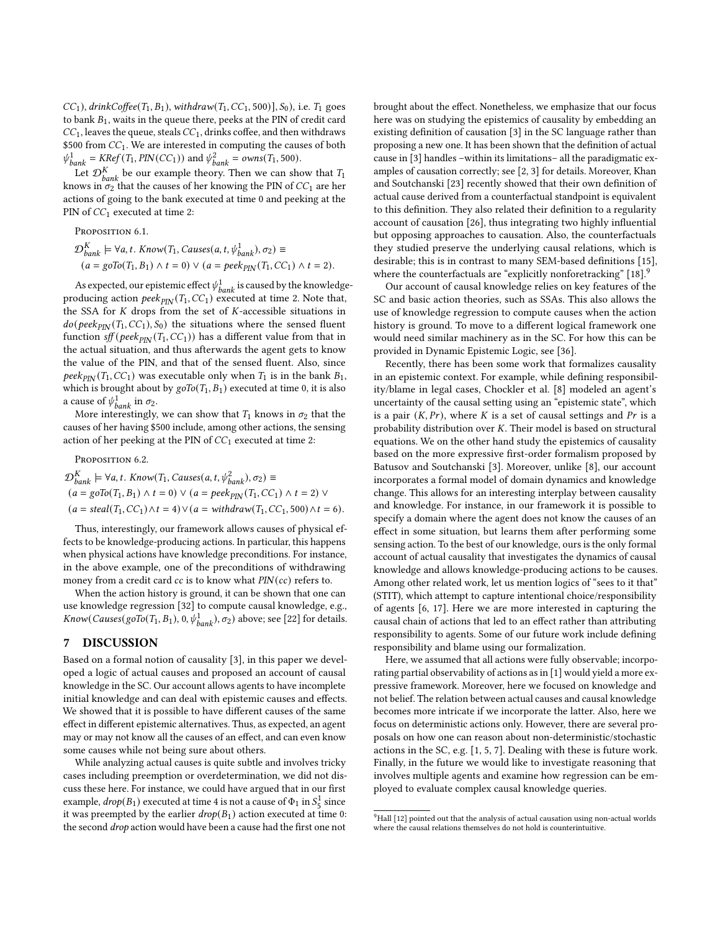$CC_1$ ), drinkCoffee(T<sub>1</sub>, B<sub>1</sub>), withdraw(T<sub>1</sub>, CC<sub>1</sub>, 500)], S<sub>0</sub>), i.e. T<sub>1</sub> goes to bank  $B_1$ , waits in the queue there, peeks at the PIN of credit card  $CC<sub>1</sub>$ , leaves the queue, steals  $CC<sub>1</sub>$ , drinks coffee, and then withdraws \$500 from  $CC_1$ . We are interested in computing the causes of both  $\psi_{bank}^1 = KRef(T_1, PIN(CC_1))$  and  $\psi_{bank}^2 = \text{own}(T_1, 500)$ .

Let  $\mathcal{D}_{bank}^{K}$  be our example theory. Then we can show that  $T_1$ knows in  $\sigma_2$  that the causes of her knowing the PIN of  $CC_1$  are her actions of going to the bank executed at time 0 and peeking at the PIN of  $CC_1$  executed at time 2:

PROPOSITION 6.1.  $\mathcal{D}_{bank}^{K} \models \forall a, t. Know(T_1, \textit{Causes}(a, t, \psi_{bank}^1), \sigma_2) \equiv$  $(a = goTo(T_1, B_1) \wedge t = 0) \vee (a = peek_{PIN}(T_1, CC_1) \wedge t = 2).$ 

As expected, our epistemic effect  $\psi_{bank}^1$  is caused by the knowledgeproducing action  $peek_{PIN}$  (T<sub>1</sub>, CC<sub>1</sub>) executed at time 2. Note that, the SSA for  $K$  drops from the set of  $K$ -accessible situations in  $do(peek_{PIN}(T_1, CC_1), S_0)$  the situations where the sensed fluent function  $sff (peek<sub>PIN</sub>(T<sub>1</sub>,CC<sub>1</sub>))$  has a different value from that in the actual situation, and thus afterwards the agent gets to know the value of the PIN, and that of the sensed fluent. Also, since peek<sub>PIN</sub> (T<sub>1</sub>, CC<sub>1</sub>) was executable only when T<sub>1</sub> is in the bank B<sub>1</sub>, which is brought about by  $g \circ T o(T_1, B_1)$  executed at time 0, it is also a cause of  $\psi_{bank}^1$  in  $\sigma_2$ .

More interestingly, we can show that  $T_1$  knows in  $\sigma_2$  that the causes of her having \$500 include, among other actions, the sensing action of her peeking at the PIN of  $CC_1$  executed at time 2:

Proposition 6.2.  $\mathcal{D}_{bank}^{K} \models \forall a, t. Know(T_1, \textit{Causes}(a, t, \psi_{bank}^2), \sigma_2) \equiv$  $(a = g\circ To(T_1, B_1) \wedge t = 0) \vee (a = peek_{\text{PIN}}(T_1, CC_1) \wedge t = 2) \vee$  $(a = \text{steal}(T_1, CC_1) \wedge t = 4) \vee (a = \text{with} \text{draw}(T_1, CC_1, 500) \wedge t = 6).$ 

Thus, interestingly, our framework allows causes of physical effects to be knowledge-producing actions. In particular, this happens when physical actions have knowledge preconditions. For instance, in the above example, one of the preconditions of withdrawing money from a credit card  $cc$  is to know what  $PIN(cc)$  refers to.

When the action history is ground, it can be shown that one can use knowledge regression [\[32\]](#page-8-20) to compute causal knowledge, e.g.,  $Know(Causes(goTo(T_1, B_1), 0, \psi_{bank}^1), \sigma_2)$  above; see [\[22\]](#page-8-25) for details.

#### 7 DISCUSSION

Based on a formal notion of causality [\[3\]](#page-8-14), in this paper we developed a logic of actual causes and proposed an account of causal knowledge in the SC. Our account allows agents to have incomplete initial knowledge and can deal with epistemic causes and effects. We showed that it is possible to have different causes of the same effect in different epistemic alternatives. Thus, as expected, an agent may or may not know all the causes of an effect, and can even know some causes while not being sure about others.

While analyzing actual causes is quite subtle and involves tricky cases including preemption or overdetermination, we did not discuss these here. For instance, we could have argued that in our first example,  $drop(B_1)$  executed at time 4 is not a cause of  $\Phi_1$  in  $S_5^1$  since it was preempted by the earlier  $drop(B_1)$  action executed at time 0: the second drop action would have been a cause had the first one not

brought about the effect. Nonetheless, we emphasize that our focus here was on studying the epistemics of causality by embedding an existing definition of causation [\[3\]](#page-8-14) in the SC language rather than proposing a new one. It has been shown that the definition of actual cause in [\[3\]](#page-8-14) handles –within its limitations– all the paradigmatic examples of causation correctly; see [\[2,](#page-8-22) [3\]](#page-8-14) for details. Moreover, Khan and Soutchanski [\[23\]](#page-8-27) recently showed that their own definition of actual cause derived from a counterfactual standpoint is equivalent to this definition. They also related their definition to a regularity account of causation [\[26\]](#page-8-28), thus integrating two highly influential but opposing approaches to causation. Also, the counterfactuals they studied preserve the underlying causal relations, which is desirable; this is in contrast to many SEM-based definitions [\[15\]](#page-8-7), where the counterfactuals are "explicitly nonforetracking" [\[18\]](#page-8-29).<sup>[9](#page-7-0)</sup>

Our account of causal knowledge relies on key features of the SC and basic action theories, such as SSAs. This also allows the use of knowledge regression to compute causes when the action history is ground. To move to a different logical framework one would need similar machinery as in the SC. For how this can be provided in Dynamic Epistemic Logic, see [\[36\]](#page-8-30).

Recently, there has been some work that formalizes causality in an epistemic context. For example, while defining responsibility/blame in legal cases, Chockler et al. [\[8\]](#page-8-31) modeled an agent's uncertainty of the causal setting using an "epistemic state", which is a pair  $(K, Pr)$ , where K is a set of causal settings and Pr is a probability distribution over  $K$ . Their model is based on structural equations. We on the other hand study the epistemics of causality based on the more expressive first-order formalism proposed by Batusov and Soutchanski [\[3\]](#page-8-14). Moreover, unlike [\[8\]](#page-8-31), our account incorporates a formal model of domain dynamics and knowledge change. This allows for an interesting interplay between causality and knowledge. For instance, in our framework it is possible to specify a domain where the agent does not know the causes of an effect in some situation, but learns them after performing some sensing action. To the best of our knowledge, ours is the only formal account of actual causality that investigates the dynamics of causal knowledge and allows knowledge-producing actions to be causes. Among other related work, let us mention logics of "sees to it that" (STIT), which attempt to capture intentional choice/responsibility of agents [\[6,](#page-8-32) [17\]](#page-8-33). Here we are more interested in capturing the causal chain of actions that led to an effect rather than attributing responsibility to agents. Some of our future work include defining responsibility and blame using our formalization.

Here, we assumed that all actions were fully observable; incorporating partial observability of actions as in [\[1\]](#page-8-21) would yield a more expressive framework. Moreover, here we focused on knowledge and not belief. The relation between actual causes and causal knowledge becomes more intricate if we incorporate the latter. Also, here we focus on deterministic actions only. However, there are several proposals on how one can reason about non-deterministic/stochastic actions in the SC, e.g. [\[1,](#page-8-21) [5,](#page-8-34) [7\]](#page-8-35). Dealing with these is future work. Finally, in the future we would like to investigate reasoning that involves multiple agents and examine how regression can be employed to evaluate complex causal knowledge queries.

<span id="page-7-0"></span> $9$ Hall [\[12\]](#page-8-36) pointed out that the analysis of actual causation using non-actual worlds where the causal relations themselves do not hold is counterintuitive.